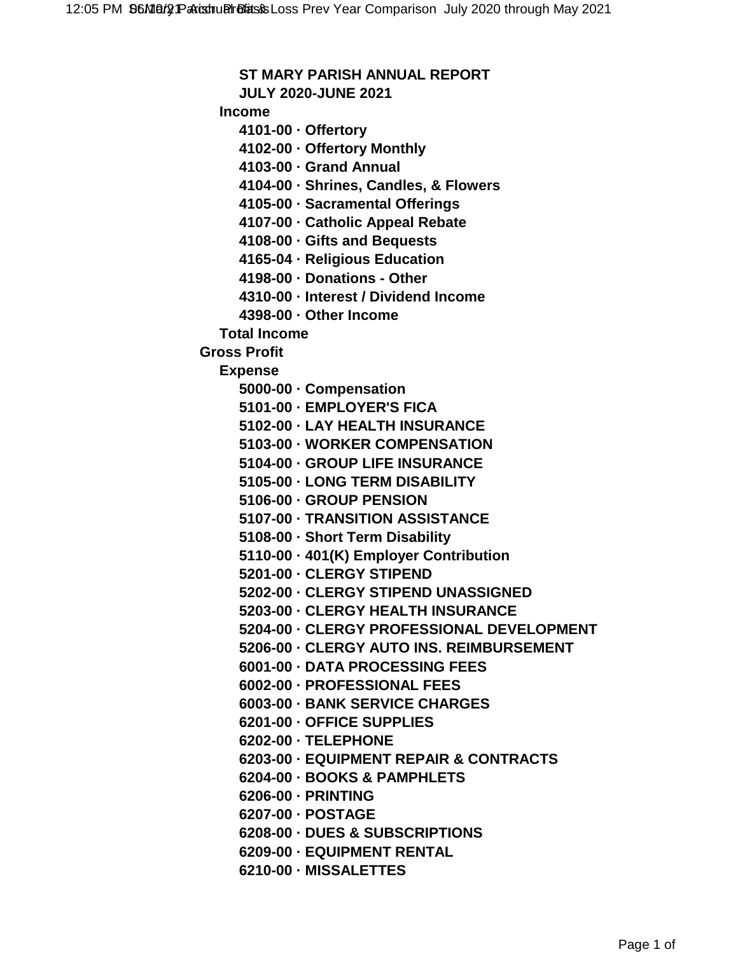## **ST MARY PARISH ANNUAL REPORT**

**JULY 2020-JUNE 2021**

**Income**

**4101-00 · Offertory**

**4102-00 · Offertory Monthly**

**4103-00 · Grand Annual**

**4104-00 · Shrines, Candles, & Flowers**

**4105-00 · Sacramental Offerings**

**4107-00 · Catholic Appeal Rebate**

**4108-00 · Gifts and Bequests**

**4165-04 · Religious Education**

**4198-00 · Donations - Other**

**4310-00 · Interest / Dividend Income**

**4398-00 · Other Income**

**Total Income**

**Gross Profit**

**Expense**

**5000-00 · Compensation**

- **5101-00 · EMPLOYER'S FICA**
- **5102-00 · LAY HEALTH INSURANCE**
- **5103-00 · WORKER COMPENSATION**
- **5104-00 · GROUP LIFE INSURANCE**
- **5105-00 · LONG TERM DISABILITY**

**5106-00 · GROUP PENSION**

- **5107-00 · TRANSITION ASSISTANCE**
- **5108-00 · Short Term Disability**
- **5110-00 · 401(K) Employer Contribution**
- **5201-00 · CLERGY STIPEND**
- **5202-00 · CLERGY STIPEND UNASSIGNED**
- **5203-00 · CLERGY HEALTH INSURANCE**
- **5204-00 · CLERGY PROFESSIONAL DEVELOPMENT**
- **5206-00 · CLERGY AUTO INS. REIMBURSEMENT**
- **6001-00 · DATA PROCESSING FEES**
- **6002-00 · PROFESSIONAL FEES**
- **6003-00 · BANK SERVICE CHARGES**
- **6201-00 · OFFICE SUPPLIES**
- **6202-00 · TELEPHONE**
- **6203-00 · EQUIPMENT REPAIR & CONTRACTS**
- **6204-00 · BOOKS & PAMPHLETS**
- **6206-00 · PRINTING**
- **6207-00 · POSTAGE**
- **6208-00 · DUES & SUBSCRIPTIONS**
- **6209-00 · EQUIPMENT RENTAL**
- **6210-00 · MISSALETTES**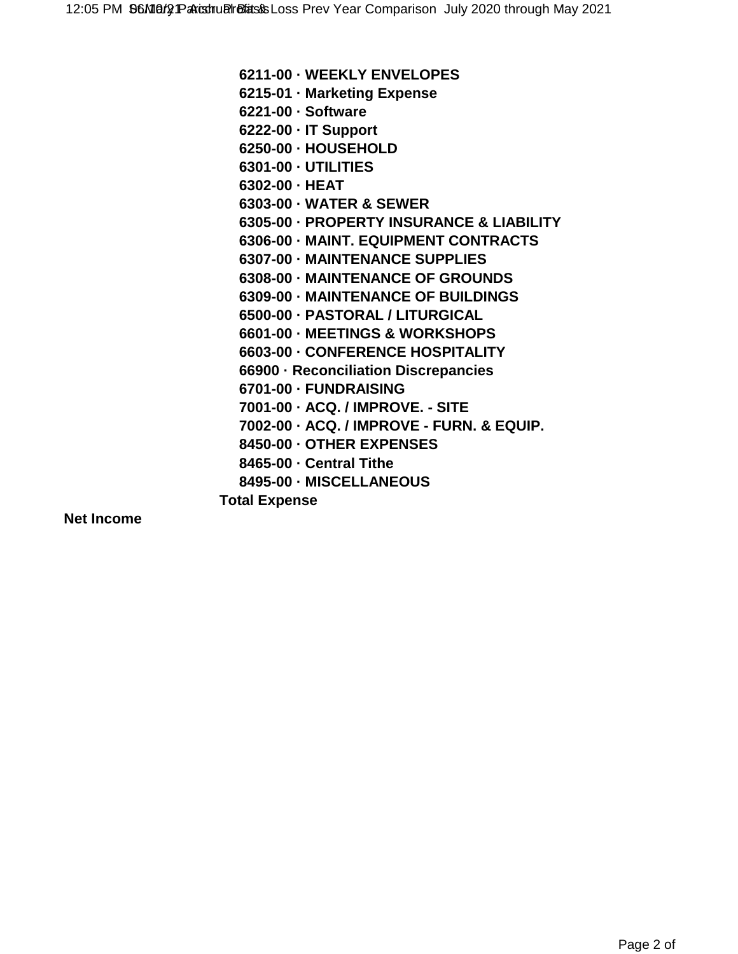**6211-00 · WEEKLY ENVELOPES 6215-01 · Marketing Expense 6221-00 · Software 6222-00 · IT Support 6250-00 · HOUSEHOLD 6301-00 · UTILITIES 6302-00 · HEAT 6303-00 · WATER & SEWER 6305-00 · PROPERTY INSURANCE & LIABILITY 6306-00 · MAINT. EQUIPMENT CONTRACTS 6307-00 · MAINTENANCE SUPPLIES 6308-00 · MAINTENANCE OF GROUNDS 6309-00 · MAINTENANCE OF BUILDINGS 6500-00 · PASTORAL / LITURGICAL 6601-00 · MEETINGS & WORKSHOPS 6603-00 · CONFERENCE HOSPITALITY 66900 · Reconciliation Discrepancies 6701-00 · FUNDRAISING 7001-00 · ACQ. / IMPROVE. - SITE 7002-00 · ACQ. / IMPROVE - FURN. & EQUIP. 8450-00 · OTHER EXPENSES 8465-00 · Central Tithe 8495-00 · MISCELLANEOUS Total Expense**

**Net Income**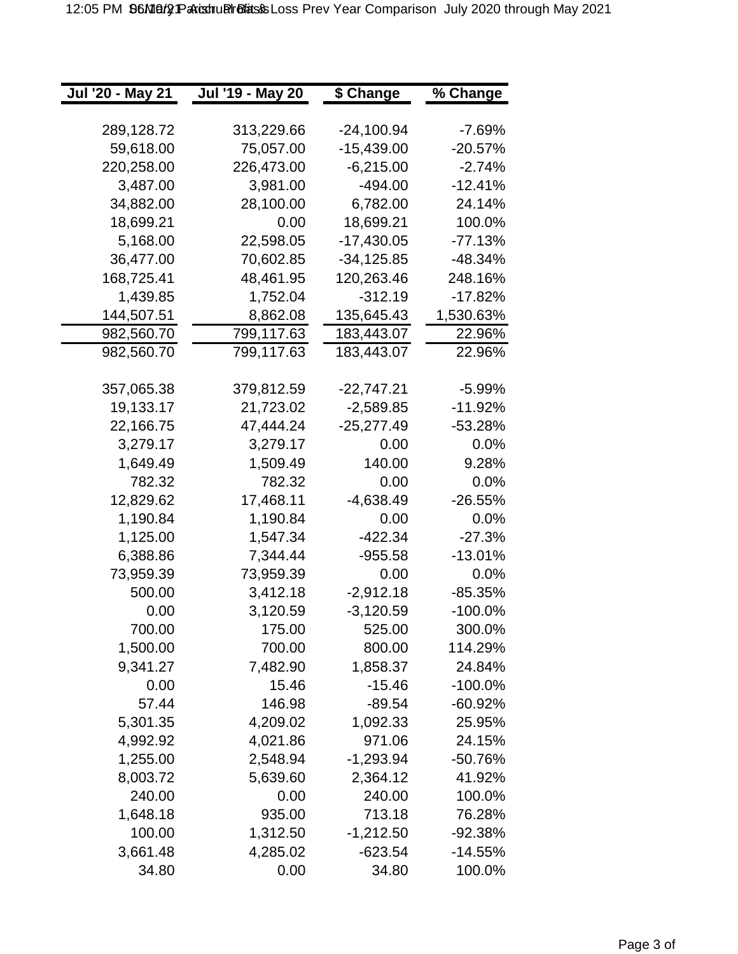| Jul '20 - May 21 | Jul '19 - May 20 | \$ Change    | % Change   |
|------------------|------------------|--------------|------------|
|                  |                  |              |            |
| 289,128.72       | 313,229.66       | -24,100.94   | -7.69%     |
| 59,618.00        | 75,057.00        | $-15,439.00$ | $-20.57%$  |
| 220,258.00       | 226,473.00       | $-6,215.00$  | $-2.74%$   |
| 3,487.00         | 3,981.00         | -494.00      | $-12.41%$  |
| 34,882.00        | 28,100.00        | 6,782.00     | 24.14%     |
| 18,699.21        | 0.00             | 18,699.21    | 100.0%     |
| 5,168.00         | 22,598.05        | -17,430.05   | $-77.13%$  |
| 36,477.00        | 70,602.85        | -34,125.85   | -48.34%    |
| 168,725.41       | 48,461.95        | 120,263.46   | 248.16%    |
| 1,439.85         | 1,752.04         | $-312.19$    | -17.82%    |
| 144,507.51       | 8,862.08         | 135,645.43   | 1,530.63%  |
| 982,560.70       | 799,117.63       | 183,443.07   | 22.96%     |
| 982,560.70       | 799,117.63       | 183,443.07   | 22.96%     |
|                  |                  |              |            |
| 357,065.38       | 379,812.59       | -22,747.21   | -5.99%     |
| 19,133.17        | 21,723.02        | $-2,589.85$  | $-11.92\%$ |
| 22,166.75        | 47,444.24        | -25,277.49   | -53.28%    |
| 3,279.17         | 3,279.17         | 0.00         | $0.0\%$    |
| 1,649.49         | 1,509.49         | 140.00       | 9.28%      |
| 782.32           | 782.32           | 0.00         | $0.0\%$    |
| 12,829.62        | 17,468.11        | $-4,638.49$  | $-26.55%$  |
| 1,190.84         | 1,190.84         | 0.00         | 0.0%       |
| 1,125.00         | 1,547.34         | -422.34      | -27.3%     |
| 6,388.86         | 7,344.44         | $-955.58$    | -13.01%    |
| 73,959.39        | 73,959.39        | 0.00         | $0.0\%$    |
| 500.00           | 3,412.18         | $-2,912.18$  | -85.35%    |
| 0.00             | 3,120.59         | $-3,120.59$  | $-100.0\%$ |
| 700.00           | 175.00           | 525.00       | 300.0%     |
| 1,500.00         | 700.00           | 800.00       | 114.29%    |
| 9,341.27         | 7,482.90         | 1,858.37     | 24.84%     |
| 0.00             | 15.46            | $-15.46$     | $-100.0%$  |
| 57.44            | 146.98           | $-89.54$     | $-60.92%$  |
| 5,301.35         | 4,209.02         | 1,092.33     | 25.95%     |
| 4,992.92         | 4,021.86         | 971.06       | 24.15%     |
| 1,255.00         | 2,548.94         | $-1,293.94$  | $-50.76%$  |
| 8,003.72         | 5,639.60         | 2,364.12     | 41.92%     |
| 240.00           | 0.00             | 240.00       | 100.0%     |
| 1,648.18         | 935.00           | 713.18       | 76.28%     |
| 100.00           | 1,312.50         | $-1,212.50$  | $-92.38%$  |
| 3,661.48         | 4,285.02         | $-623.54$    | $-14.55%$  |
| 34.80            | 0.00             | 34.80        | 100.0%     |